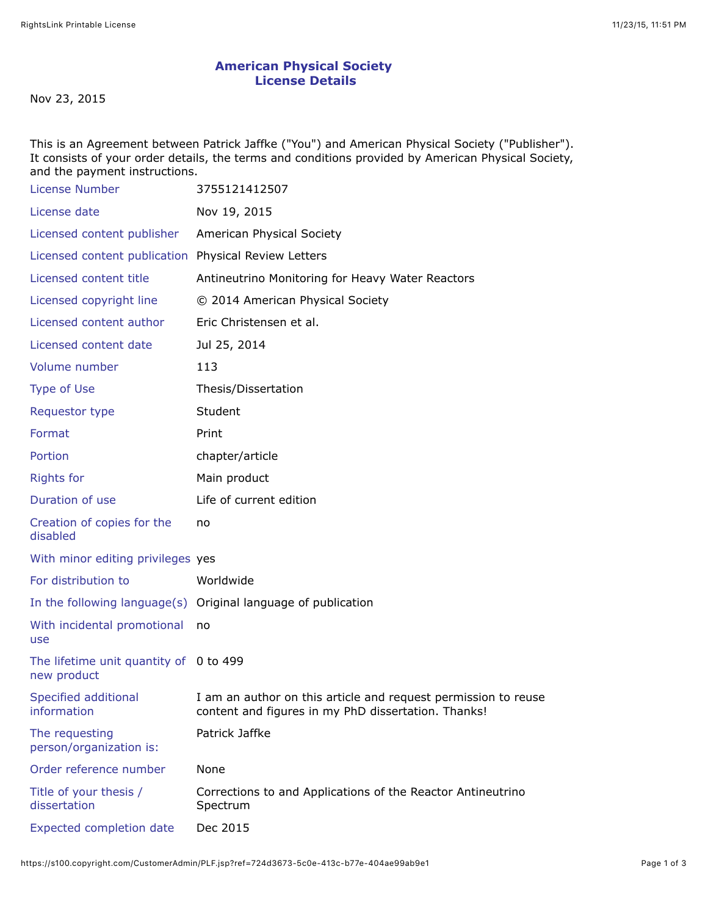## **American Physical Society License Details**

Nov 23, 2015

This is an Agreement between Patrick Jaffke ("You") and American Physical Society ("Publisher"). It consists of your order details, the terms and conditions provided by American Physical Society, and the payment instructions.

| License Number                                        | 3755121412507                                                                                                         |
|-------------------------------------------------------|-----------------------------------------------------------------------------------------------------------------------|
| License date                                          | Nov 19, 2015                                                                                                          |
| Licensed content publisher                            | American Physical Society                                                                                             |
| Licensed content publication Physical Review Letters  |                                                                                                                       |
| Licensed content title                                | Antineutrino Monitoring for Heavy Water Reactors                                                                      |
| Licensed copyright line                               | © 2014 American Physical Society                                                                                      |
| Licensed content author                               | Eric Christensen et al.                                                                                               |
| Licensed content date                                 | Jul 25, 2014                                                                                                          |
| Volume number                                         | 113                                                                                                                   |
| <b>Type of Use</b>                                    | Thesis/Dissertation                                                                                                   |
| Requestor type                                        | Student                                                                                                               |
| Format                                                | Print                                                                                                                 |
| Portion                                               | chapter/article                                                                                                       |
| <b>Rights for</b>                                     | Main product                                                                                                          |
| Duration of use                                       | Life of current edition                                                                                               |
| Creation of copies for the<br>disabled                | no                                                                                                                    |
| With minor editing privileges yes                     |                                                                                                                       |
| For distribution to                                   | Worldwide                                                                                                             |
|                                                       | In the following language(s) Original language of publication                                                         |
| With incidental promotional<br>use                    | no                                                                                                                    |
| The lifetime unit quantity of 0 to 499<br>new product |                                                                                                                       |
| Specified additional<br>information                   | I am an author on this article and request permission to reuse<br>content and figures in my PhD dissertation. Thanks! |
| The requesting<br>person/organization is:             | Patrick Jaffke                                                                                                        |
| Order reference number                                | None                                                                                                                  |
| Title of your thesis /<br>dissertation                | Corrections to and Applications of the Reactor Antineutrino<br>Spectrum                                               |
| <b>Expected completion date</b>                       | Dec 2015                                                                                                              |
|                                                       |                                                                                                                       |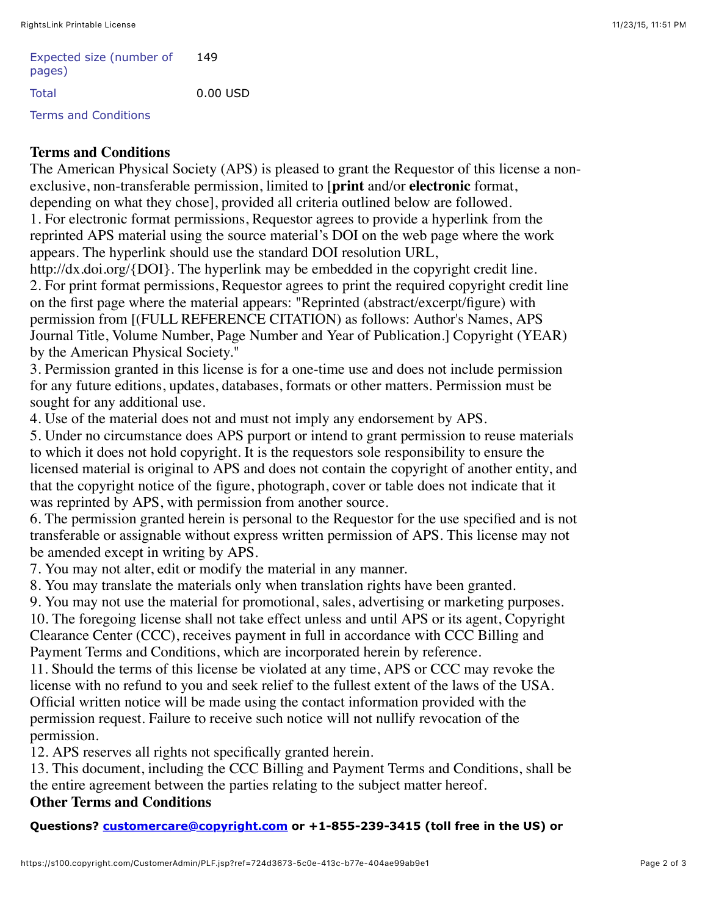| Expected size (number of<br>pages) | 149      |
|------------------------------------|----------|
| Total                              | 0.00 USD |
| <b>Terms and Conditions</b>        |          |

## **Terms and Conditions**

The American Physical Society (APS) is pleased to grant the Requestor of this license a nonexclusive, non-transferable permission, limited to [**print** and/or **electronic** format, depending on what they chose], provided all criteria outlined below are followed.

1. For electronic format permissions, Requestor agrees to provide a hyperlink from the reprinted APS material using the source material's DOI on the web page where the work appears. The hyperlink should use the standard DOI resolution URL,

http://dx.doi.org/{DOI}. The hyperlink may be embedded in the copyright credit line. 2. For print format permissions, Requestor agrees to print the required copyright credit line on the first page where the material appears: "Reprinted (abstract/excerpt/figure) with permission from [(FULL REFERENCE CITATION) as follows: Author's Names, APS Journal Title, Volume Number, Page Number and Year of Publication.] Copyright (YEAR) by the American Physical Society."

3. Permission granted in this license is for a one-time use and does not include permission for any future editions, updates, databases, formats or other matters. Permission must be sought for any additional use.

4. Use of the material does not and must not imply any endorsement by APS.

5. Under no circumstance does APS purport or intend to grant permission to reuse materials to which it does not hold copyright. It is the requestors sole responsibility to ensure the licensed material is original to APS and does not contain the copyright of another entity, and that the copyright notice of the figure, photograph, cover or table does not indicate that it was reprinted by APS, with permission from another source.

6. The permission granted herein is personal to the Requestor for the use specified and is not transferable or assignable without express written permission of APS. This license may not be amended except in writing by APS.

7. You may not alter, edit or modify the material in any manner.

8. You may translate the materials only when translation rights have been granted.

9. You may not use the material for promotional, sales, advertising or marketing purposes.

10. The foregoing license shall not take effect unless and until APS or its agent, Copyright Clearance Center (CCC), receives payment in full in accordance with CCC Billing and Payment Terms and Conditions, which are incorporated herein by reference.

11. Should the terms of this license be violated at any time, APS or CCC may revoke the license with no refund to you and seek relief to the fullest extent of the laws of the USA. Official written notice will be made using the contact information provided with the permission request. Failure to receive such notice will not nullify revocation of the permission.

12. APS reserves all rights not specifically granted herein.

13. This document, including the CCC Billing and Payment Terms and Conditions, shall be the entire agreement between the parties relating to the subject matter hereof. **Other Terms and Conditions**

## **Questions? [customercare@copyright.com](mailto:customercare@copyright.com) or +1-855-239-3415 (toll free in the US) or**